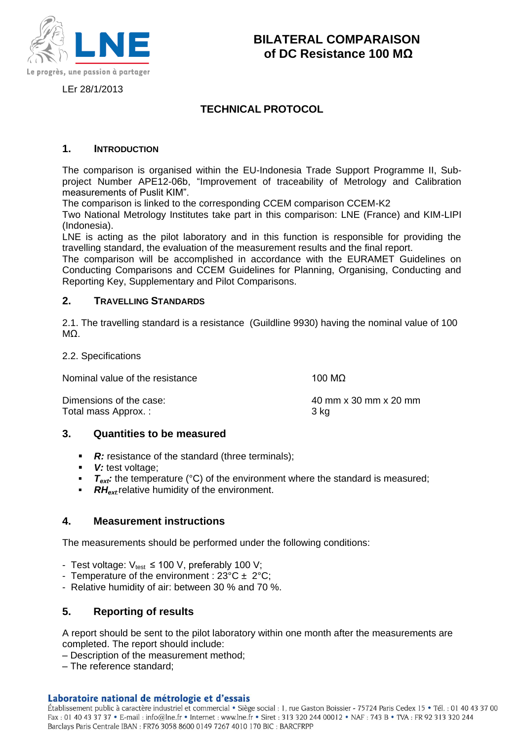

LEr 28/1/2013

# **TECHNICAL PROTOCOL**

# **1. INTRODUCTION**

The comparison is organised within the EU-Indonesia Trade Support Programme II, Subproject Number APE12-06b, "Improvement of traceability of Metrology and Calibration measurements of Puslit KIM".

The comparison is linked to the corresponding CCEM comparison CCEM-K2

Two National Metrology Institutes take part in this comparison: LNE (France) and KIM-LIPI (Indonesia).

LNE is acting as the pilot laboratory and in this function is responsible for providing the travelling standard, the evaluation of the measurement results and the final report.

The comparison will be accomplished in accordance with the EURAMET Guidelines on Conducting Comparisons and CCEM Guidelines for Planning, Organising, Conducting and Reporting Key, Supplementary and Pilot Comparisons.

# **2. TRAVELLING STANDARDS**

2.1. The travelling standard is a resistance (Guildline 9930) having the nominal value of 100 MΩ.

#### 2.2. Specifications

| Nominal value of the resistance | 100 MΩ |
|---------------------------------|--------|
|---------------------------------|--------|

Dimensions of the case: 40 mm x 30 mm x 20 mm Total mass Approx. : 3 kg

#### **3. Quantities to be measured**

- **R:** resistance of the standard (three terminals);
- *V:* test voltage;
- *T<sub>ext</sub>*: the temperature (°C) of the environment where the standard is measured;
- *RHext:*relative humidity of the environment.

# **4. Measurement instructions**

The measurements should be performed under the following conditions:

- Test voltage:  $V_{test} \le 100$  V, preferably 100 V;
- Temperature of the environment :  $23^{\circ}C \pm 2^{\circ}C$ ;
- Relative humidity of air: between 30 % and 70 %.

# **5. Reporting of results**

A report should be sent to the pilot laboratory within one month after the measurements are completed. The report should include:

– Description of the measurement method;

– The reference standard;

#### Laboratoire national de métrologie et d'essais